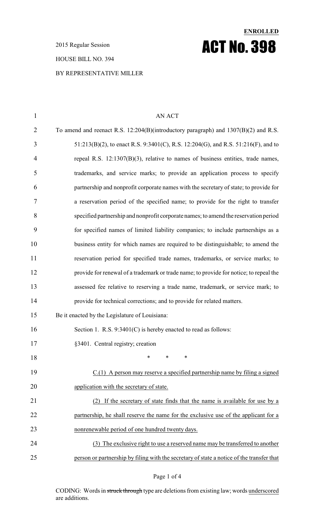2015 Regular Session

#### HOUSE BILL NO. 394

### BY REPRESENTATIVE MILLER

# 1 AN ACT To amend and reenact R.S. 12:204(B)(introductory paragraph) and 1307(B)(2) and R.S. 51:213(B)(2), to enact R.S. 9:3401(C), R.S. 12:204(G), and R.S. 51:216(F), and to repeal R.S. 12:1307(B)(3), relative to names of business entities, trade names, trademarks, and service marks; to provide an application process to specify partnership and nonprofit corporate names with the secretary of state; to provide for a reservation period of the specified name; to provide for the right to transfer specified partnership and nonprofit corporate names; to amend the reservation period for specified names of limited liability companies; to include partnerships as a business entity for which names are required to be distinguishable; to amend the reservation period for specified trade names, trademarks, or service marks; to provide for renewal of a trademark or trade name; to provide for notice; to repeal the assessed fee relative to reserving a trade name, trademark, or service mark; to provide for technical corrections; and to provide for related matters. Be it enacted by the Legislature of Louisiana: 16 Section 1. R.S. 9:3401(C) is hereby enacted to read as follows: 17 §3401. Central registry; creation \* \* \* C.(1) A person may reserve a specified partnership name by filing a signed 20 application with the secretary of state. (2) If the secretary of state finds that the name is available for use by a 22 partnership, he shall reserve the name for the exclusive use of the applicant for a nonrenewable period of one hundred twenty days. (3) The exclusive right to use a reserved name may be transferred to another person or partnership by filing with the secretary of state a notice of the transfer that

**ENROLLED**

ACT No. 398

#### Page 1 of 4

CODING: Words in struck through type are deletions from existing law; words underscored are additions.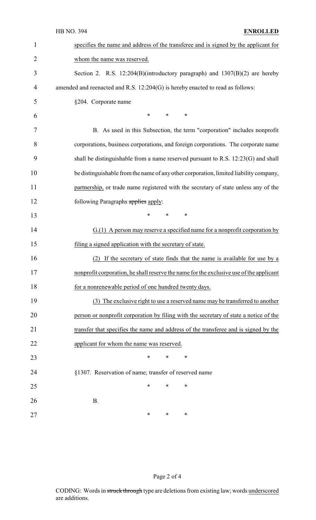| 1              | specifies the name and address of the transferee and is signed by the applicant for     |  |  |
|----------------|-----------------------------------------------------------------------------------------|--|--|
| $\overline{2}$ | whom the name was reserved.                                                             |  |  |
| 3              | Section 2. R.S. 12:204(B)(introductory paragraph) and 1307(B)(2) are hereby             |  |  |
| 4              | amended and reenacted and R.S. 12:204(G) is hereby enacted to read as follows:          |  |  |
| 5              | §204. Corporate name                                                                    |  |  |
| 6              | $\ast$<br>$*$<br>$\ast$                                                                 |  |  |
| 7              | B. As used in this Subsection, the term "corporation" includes nonprofit                |  |  |
| 8              | corporations, business corporations, and foreign corporations. The corporate name       |  |  |
| 9              | shall be distinguishable from a name reserved pursuant to R.S. 12:23(G) and shall       |  |  |
| 10             | be distinguishable from the name of any other corporation, limited liability company,   |  |  |
| 11             | partnership, or trade name registered with the secretary of state unless any of the     |  |  |
| 12             | following Paragraphs applies apply:                                                     |  |  |
| 13             | $\ast$<br>$\ast$<br>$\ast$                                                              |  |  |
| 14             | G.(1) A person may reserve a specified name for a nonprofit corporation by              |  |  |
| 15             | filing a signed application with the secretary of state.                                |  |  |
| 16             | If the secretary of state finds that the name is available for use by a<br>(2)          |  |  |
| 17             | nonprofit corporation, he shall reserve the name for the exclusive use of the applicant |  |  |
| 18             | for a nonrenewable period of one hundred twenty days.                                   |  |  |
| 19             | (3) The exclusive right to use a reserved name may be transferred to another            |  |  |
| 20             | person or nonprofit corporation by filing with the secretary of state a notice of the   |  |  |
| 21             | transfer that specifies the name and address of the transferee and is signed by the     |  |  |
| 22             | applicant for whom the name was reserved.                                               |  |  |
| 23             | $\ast$<br>∗<br>$\ast$                                                                   |  |  |
| 24             | §1307. Reservation of name; transfer of reserved name                                   |  |  |
| 25             | *<br>∗<br>∗                                                                             |  |  |
| 26             | <b>B.</b>                                                                               |  |  |
| 27             | ∗<br>*<br>$\ast$                                                                        |  |  |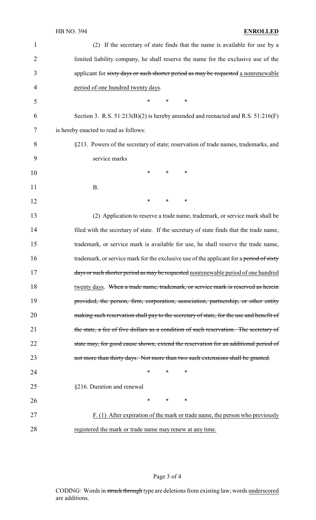## HB NO. 394 **ENROLLED**

| $\mathbf{1}$   | (2) If the secretary of state finds that the name is available for use by a             |
|----------------|-----------------------------------------------------------------------------------------|
| $\overline{2}$ | limited liability company, he shall reserve the name for the exclusive use of the       |
| 3              | applicant for sixty days or such shorter period as may be requested a nonrenewable      |
| 4              | period of one hundred twenty days.                                                      |
| 5              | $\ast$<br>*<br>∗                                                                        |
| 6              | Section 3. R.S. $51:213(B)(2)$ is hereby amended and reenacted and R.S. $51:216(F)$     |
| 7              | is hereby enacted to read as follows:                                                   |
| 8              | §213. Powers of the secretary of state; reservation of trade names, trademarks, and     |
| 9              | service marks                                                                           |
| 10             | $\ast$<br>$\ast$<br>∗                                                                   |
| 11             | <b>B.</b>                                                                               |
| 12             | $\ast$<br>$\ast$<br>∗                                                                   |
| 13             | (2) Application to reserve a trade name, trademark, or service mark shall be            |
| 14             | filed with the secretary of state. If the secretary of state finds that the trade name, |
| 15             | trademark, or service mark is available for use, he shall reserve the trade name,       |
| 16             | trademark, or service mark for the exclusive use of the applicant for a period of sixty |
| 17             | days or such shorter period as may be requested nonrenewable period of one hundred      |
| 18             | twenty days. When a trade name, trademark, or service mark is reserved as herein        |
| 19             | provided, the person, firm, corporation, association, partnership, or other entity      |
| 20             | making such reservation shall pay to the secretary of state, for the use and benefit of |
| 21             | the state, a fee of five dollars as a condition of such reservation. The secretary of   |
| 22             | state may, for good cause shown, extend the reservation for an additional period of     |
| 23             | not more than thirty days. Not more than two such extensions shall be granted.          |
| 24             | ∗<br>*<br>∗                                                                             |
| 25             | §216. Duration and renewal                                                              |
| 26             | $\ast$<br>$\ast$<br>∗                                                                   |
| 27             | $F(1)$ After expiration of the mark or trade name, the person who previously            |
| 28             | registered the mark or trade name may renew at any time.                                |

# Page 3 of 4